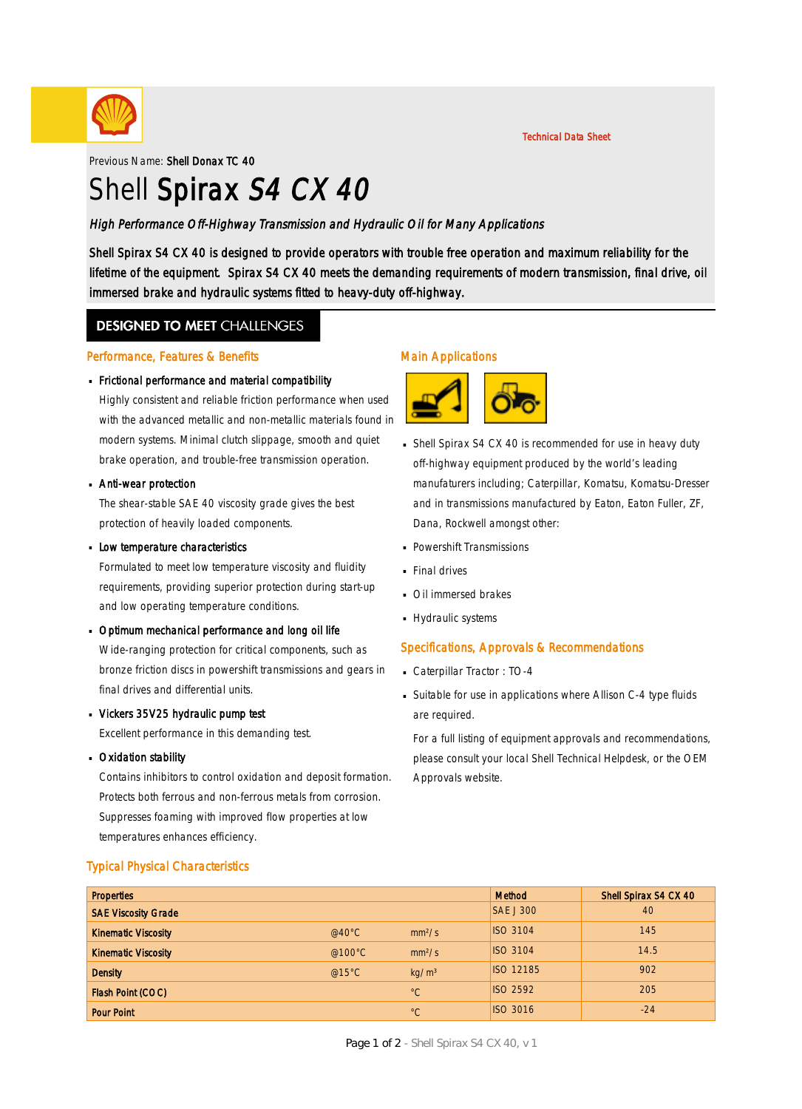

Previous Name: Shell Donax TC 40

# Shell Spirax S4 CX 40

### High Performance Off-Highway Transmission and Hydraulic Oil for Many Applications

Shell Spirax S4 CX 40 is designed to provide operators with trouble free operation and maximum reliability for the lifetime of the equipment. Spirax S4 CX 40 meets the demanding requirements of modern transmission, final drive, oil immersed brake and hydraulic systems fitted to heavy-duty off-highway.

### **DESIGNED TO MEET CHALLENGES**

#### Performance, Features & Benefits

# Frictional performance and material compatibility ·

Highly consistent and reliable friction performance when used with the advanced metallic and non-metallic materials found in modern systems. Minimal clutch slippage, smooth and quiet brake operation, and trouble-free transmission operation.

# **Anti-wear protection**

The shear-stable SAE 40 viscosity grade gives the best protection of heavily loaded components.

# **Low temperature characteristics**

Formulated to meet low temperature viscosity and fluidity requirements, providing superior protection during start-up and low operating temperature conditions.

- Optimum mechanical performance and long oil life · Wide-ranging protection for critical components, such as bronze friction discs in powershift transmissions and gears in final drives and differential units.
- Vickers 35V25 hydraulic pump test · Excellent performance in this demanding test.
- **Dxidation stability**

Contains inhibitors to control oxidation and deposit formation. Protects both ferrous and non-ferrous metals from corrosion. Suppresses foaming with improved flow properties at low temperatures enhances efficiency.

### Main Applications



■ Shell Spirax S4 CX 40 is recommended for use in heavy duty off-highway equipment produced by the world's leading manufaturers including; Caterpillar, Komatsu, Komatsu-Dresser and in transmissions manufactured by Eaton, Eaton Fuller, ZF, Dana, Rockwell amongst other:

Technical Data Sheet

- Powershift Transmissions ·
- **Final drives**
- **Oil immersed brakes**
- Hydraulic systems

### Specifications, Approvals & Recommendations

- Caterpillar Tractor : TO-4
- Suitable for use in applications where Allison C-4 type fluids · are required.

For a full listing of equipment approvals and recommendations, please consult your local Shell Technical Helpdesk, or the OEM Approvals website.

| <b>Typical Physical Characteristics</b> |  |
|-----------------------------------------|--|
|-----------------------------------------|--|

| <b>Properties</b>          |                   |                    | <b>Method</b>    | Shell Spirax S4 CX 40 |
|----------------------------|-------------------|--------------------|------------------|-----------------------|
| <b>SAE Viscosity Grade</b> |                   |                    | <b>SAE J 300</b> | 40                    |
| <b>Kinematic Viscosity</b> | @40 $^{\circ}$ C  | mm <sup>2</sup> /s | <b>ISO 3104</b>  | 145                   |
| <b>Kinematic Viscosity</b> | @100 $^{\circ}$ C | mm <sup>2</sup> /s | <b>ISO 3104</b>  | 14.5                  |
| <b>Density</b>             | @15 $°C$          | kg/m <sup>3</sup>  | <b>ISO 12185</b> | 902                   |
| Flash Point (COC)          |                   | $^{\circ}C$        | <b>ISO 2592</b>  | 205                   |
| <b>Pour Point</b>          |                   | $^{\circ}C$        | <b>ISO 3016</b>  | $-24$                 |